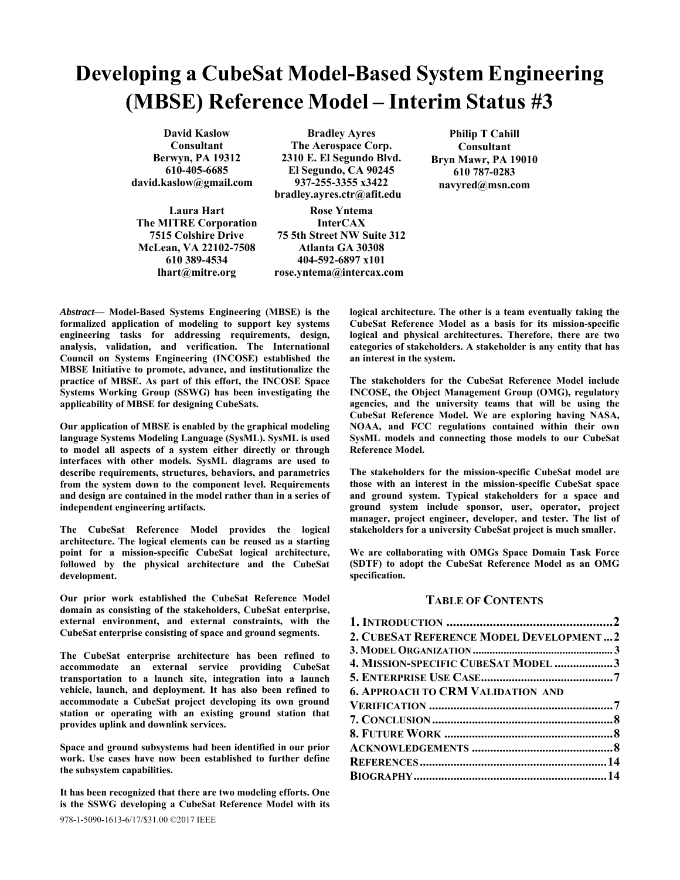# **Developing a CubeSat Model-Based System Engineering (MBSE) Reference Model – Interim Status #3**

**David Kaslow Consultant Berwyn, PA 19312 610-405-6685 david.kaslow@gmail.com**

**Laura Hart The MITRE Corporation 7515 Colshire Drive McLean, VA 22102-7508 610 389-4534 lhart@mitre.org**

**Bradley Ayres The Aerospace Corp. 2310 E. El Segundo Blvd. El Segundo, CA 90245 937-255-3355 x3422 bradley.ayres.ctr@afit.edu**

**Rose Yntema InterCAX 75 5th Street NW Suite 312 Atlanta GA 30308 404-592-6897 x101** 

**rose.yntema@intercax.com**

*Abstract***— Model-Based Systems Engineering (MBSE) is the formalized application of modeling to support key systems engineering tasks for addressing requirements, design, analysis, validation, and verification. The International Council on Systems Engineering (INCOSE) established the MBSE Initiative to promote, advance, and institutionalize the practice of MBSE. As part of this effort, the INCOSE Space Systems Working Group (SSWG) has been investigating the applicability of MBSE for designing CubeSats.** 

**Our application of MBSE is enabled by the graphical modeling language Systems Modeling Language (SysML). SysML is used to model all aspects of a system either directly or through interfaces with other models. SysML diagrams are used to describe requirements, structures, behaviors, and parametrics from the system down to the component level. Requirements and design are contained in the model rather than in a series of independent engineering artifacts.** 

**The CubeSat Reference Model provides the logical architecture. The logical elements can be reused as a starting point for a mission-specific CubeSat logical architecture, followed by the physical architecture and the CubeSat development.** 

**Our prior work established the CubeSat Reference Model domain as consisting of the stakeholders, CubeSat enterprise, external environment, and external constraints, with the CubeSat enterprise consisting of space and ground segments.** 

**The CubeSat enterprise architecture has been refined to accommodate an external service providing CubeSat transportation to a launch site, integration into a launch vehicle, launch, and deployment. It has also been refined to accommodate a CubeSat project developing its own ground station or operating with an existing ground station that provides uplink and downlink services.** 

**Space and ground subsystems had been identified in our prior work. Use cases have now been established to further define the subsystem capabilities.** 

978-1-5090-1613-6/17/\$31.00 ©2017 IEEE **It has been recognized that there are two modeling efforts. One is the SSWG developing a CubeSat Reference Model with its** 

**logical architecture. The other is a team eventually taking the CubeSat Reference Model as a basis for its mission-specific logical and physical architectures. Therefore, there are two categories of stakeholders. A stakeholder is any entity that has an interest in the system.** 

**Philip T Cahill Consultant Bryn Mawr, PA 19010 610 787-0283 navyred@msn.com** 

**The stakeholders for the CubeSat Reference Model include INCOSE, the Object Management Group (OMG), regulatory agencies, and the university teams that will be using the CubeSat Reference Model. We are exploring having NASA, NOAA, and FCC regulations contained within their own SysML models and connecting those models to our CubeSat Reference Model.** 

**The stakeholders for the mission-specific CubeSat model are those with an interest in the mission-specific CubeSat space and ground system. Typical stakeholders for a space and ground system include sponsor, user, operator, project manager, project engineer, developer, and tester. The list of stakeholders for a university CubeSat project is much smaller.** 

**We are collaborating with OMGs Space Domain Task Force (SDTF) to adopt the CubeSat Reference Model as an OMG specification.** 

## **TABLE OF CONTENTS**

| 2. CUBESAT REFERENCE MODEL DEVELOPMENT2  |  |
|------------------------------------------|--|
|                                          |  |
| 4. MISSION-SPECIFIC CUBESAT MODEL 3      |  |
|                                          |  |
| <b>6. APPROACH TO CRM VALIDATION AND</b> |  |
|                                          |  |
|                                          |  |
|                                          |  |
|                                          |  |
|                                          |  |
|                                          |  |
|                                          |  |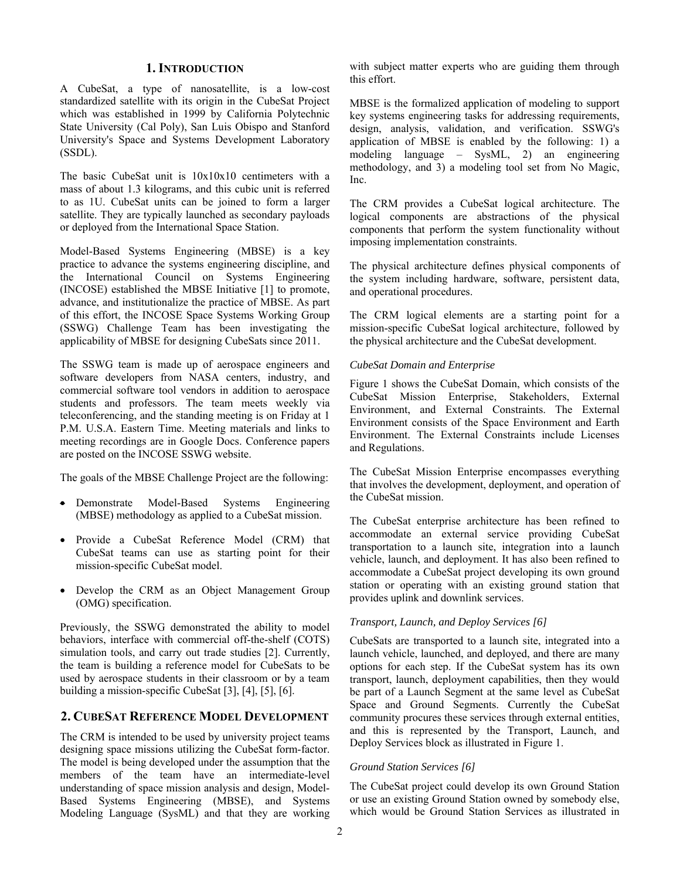## **1. INTRODUCTION**

A CubeSat, a type of nanosatellite, is a low-cost standardized satellite with its origin in the CubeSat Project which was established in 1999 by California Polytechnic State University (Cal Poly), San Luis Obispo and Stanford University's Space and Systems Development Laboratory (SSDL).

The basic CubeSat unit is 10x10x10 centimeters with a mass of about 1.3 kilograms, and this cubic unit is referred to as 1U. CubeSat units can be joined to form a larger satellite. They are typically launched as secondary payloads or deployed from the International Space Station.

Model-Based Systems Engineering (MBSE) is a key practice to advance the systems engineering discipline, and the International Council on Systems Engineering (INCOSE) established the MBSE Initiative [1] to promote, advance, and institutionalize the practice of MBSE. As part of this effort, the INCOSE Space Systems Working Group (SSWG) Challenge Team has been investigating the applicability of MBSE for designing CubeSats since 2011.

The SSWG team is made up of aerospace engineers and software developers from NASA centers, industry, and commercial software tool vendors in addition to aerospace students and professors. The team meets weekly via teleconferencing, and the standing meeting is on Friday at 1 P.M. U.S.A. Eastern Time. Meeting materials and links to meeting recordings are in Google Docs. Conference papers are posted on the INCOSE SSWG website.

The goals of the MBSE Challenge Project are the following:

- Demonstrate Model-Based Systems Engineering (MBSE) methodology as applied to a CubeSat mission.
- Provide a CubeSat Reference Model (CRM) that CubeSat teams can use as starting point for their mission-specific CubeSat model.
- Develop the CRM as an Object Management Group (OMG) specification.

Previously, the SSWG demonstrated the ability to model behaviors, interface with commercial off-the-shelf (COTS) simulation tools, and carry out trade studies [2]. Currently, the team is building a reference model for CubeSats to be used by aerospace students in their classroom or by a team building a mission-specific CubeSat [3], [4], [5], [6].

# **2. CUBESAT REFERENCE MODEL DEVELOPMENT**

The CRM is intended to be used by university project teams designing space missions utilizing the CubeSat form-factor. The model is being developed under the assumption that the members of the team have an intermediate-level understanding of space mission analysis and design, Model-Based Systems Engineering (MBSE), and Systems Modeling Language (SysML) and that they are working

with subject matter experts who are guiding them through this effort.

MBSE is the formalized application of modeling to support key systems engineering tasks for addressing requirements, design, analysis, validation, and verification. SSWG's application of MBSE is enabled by the following: 1) a modeling language – SysML, 2) an engineering methodology, and 3) a modeling tool set from No Magic, Inc.

The CRM provides a CubeSat logical architecture. The logical components are abstractions of the physical components that perform the system functionality without imposing implementation constraints.

The physical architecture defines physical components of the system including hardware, software, persistent data, and operational procedures.

The CRM logical elements are a starting point for a mission-specific CubeSat logical architecture, followed by the physical architecture and the CubeSat development.

#### *CubeSat Domain and Enterprise*

Figure 1 shows the CubeSat Domain, which consists of the CubeSat Mission Enterprise, Stakeholders, External Environment, and External Constraints. The External Environment consists of the Space Environment and Earth Environment. The External Constraints include Licenses and Regulations.

The CubeSat Mission Enterprise encompasses everything that involves the development, deployment, and operation of the CubeSat mission.

The CubeSat enterprise architecture has been refined to accommodate an external service providing CubeSat transportation to a launch site, integration into a launch vehicle, launch, and deployment. It has also been refined to accommodate a CubeSat project developing its own ground station or operating with an existing ground station that provides uplink and downlink services.

## *Transport, Launch, and Deploy Services [6]*

CubeSats are transported to a launch site, integrated into a launch vehicle, launched, and deployed, and there are many options for each step. If the CubeSat system has its own transport, launch, deployment capabilities, then they would be part of a Launch Segment at the same level as CubeSat Space and Ground Segments. Currently the CubeSat community procures these services through external entities, and this is represented by the Transport, Launch, and Deploy Services block as illustrated in Figure 1.

#### *Ground Station Services [6]*

The CubeSat project could develop its own Ground Station or use an existing Ground Station owned by somebody else, which would be Ground Station Services as illustrated in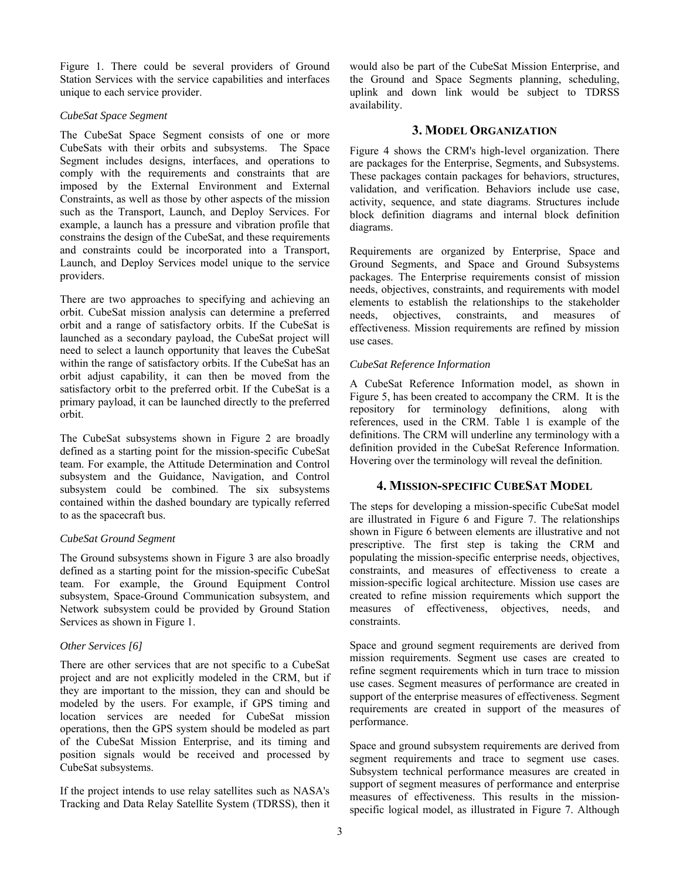Figure 1. There could be several providers of Ground Station Services with the service capabilities and interfaces unique to each service provider.

#### *CubeSat Space Segment*

The CubeSat Space Segment consists of one or more CubeSats with their orbits and subsystems. The Space Segment includes designs, interfaces, and operations to comply with the requirements and constraints that are imposed by the External Environment and External Constraints, as well as those by other aspects of the mission such as the Transport, Launch, and Deploy Services. For example, a launch has a pressure and vibration profile that constrains the design of the CubeSat, and these requirements and constraints could be incorporated into a Transport, Launch, and Deploy Services model unique to the service providers.

There are two approaches to specifying and achieving an orbit. CubeSat mission analysis can determine a preferred orbit and a range of satisfactory orbits. If the CubeSat is launched as a secondary payload, the CubeSat project will need to select a launch opportunity that leaves the CubeSat within the range of satisfactory orbits. If the CubeSat has an orbit adjust capability, it can then be moved from the satisfactory orbit to the preferred orbit. If the CubeSat is a primary payload, it can be launched directly to the preferred orbit.

The CubeSat subsystems shown in Figure 2 are broadly defined as a starting point for the mission-specific CubeSat team. For example, the Attitude Determination and Control subsystem and the Guidance, Navigation, and Control subsystem could be combined. The six subsystems contained within the dashed boundary are typically referred to as the spacecraft bus.

#### *CubeSat Ground Segment*

The Ground subsystems shown in Figure 3 are also broadly defined as a starting point for the mission-specific CubeSat team. For example, the Ground Equipment Control subsystem, Space-Ground Communication subsystem, and Network subsystem could be provided by Ground Station Services as shown in Figure 1.

#### *Other Services [6]*

There are other services that are not specific to a CubeSat project and are not explicitly modeled in the CRM, but if they are important to the mission, they can and should be modeled by the users. For example, if GPS timing and location services are needed for CubeSat mission operations, then the GPS system should be modeled as part of the CubeSat Mission Enterprise, and its timing and position signals would be received and processed by CubeSat subsystems.

If the project intends to use relay satellites such as NASA's Tracking and Data Relay Satellite System (TDRSS), then it would also be part of the CubeSat Mission Enterprise, and the Ground and Space Segments planning, scheduling, uplink and down link would be subject to TDRSS availability.

## **3. MODEL ORGANIZATION**

Figure 4 shows the CRM's high-level organization. There are packages for the Enterprise, Segments, and Subsystems. These packages contain packages for behaviors, structures, validation, and verification. Behaviors include use case, activity, sequence, and state diagrams. Structures include block definition diagrams and internal block definition diagrams.

Requirements are organized by Enterprise, Space and Ground Segments, and Space and Ground Subsystems packages. The Enterprise requirements consist of mission needs, objectives, constraints, and requirements with model elements to establish the relationships to the stakeholder needs, objectives, constraints, and measures of effectiveness. Mission requirements are refined by mission use cases.

#### *CubeSat Reference Information*

A CubeSat Reference Information model, as shown in Figure 5, has been created to accompany the CRM. It is the repository for terminology definitions, along with references, used in the CRM. Table 1 is example of the definitions. The CRM will underline any terminology with a definition provided in the CubeSat Reference Information. Hovering over the terminology will reveal the definition.

## **4. MISSION-SPECIFIC CUBESAT MODEL**

The steps for developing a mission-specific CubeSat model are illustrated in Figure 6 and Figure 7. The relationships shown in Figure 6 between elements are illustrative and not prescriptive. The first step is taking the CRM and populating the mission-specific enterprise needs, objectives, constraints, and measures of effectiveness to create a mission-specific logical architecture. Mission use cases are created to refine mission requirements which support the measures of effectiveness, objectives, needs, and constraints.

Space and ground segment requirements are derived from mission requirements. Segment use cases are created to refine segment requirements which in turn trace to mission use cases. Segment measures of performance are created in support of the enterprise measures of effectiveness. Segment requirements are created in support of the measures of performance.

Space and ground subsystem requirements are derived from segment requirements and trace to segment use cases. Subsystem technical performance measures are created in support of segment measures of performance and enterprise measures of effectiveness. This results in the missionspecific logical model, as illustrated in Figure 7. Although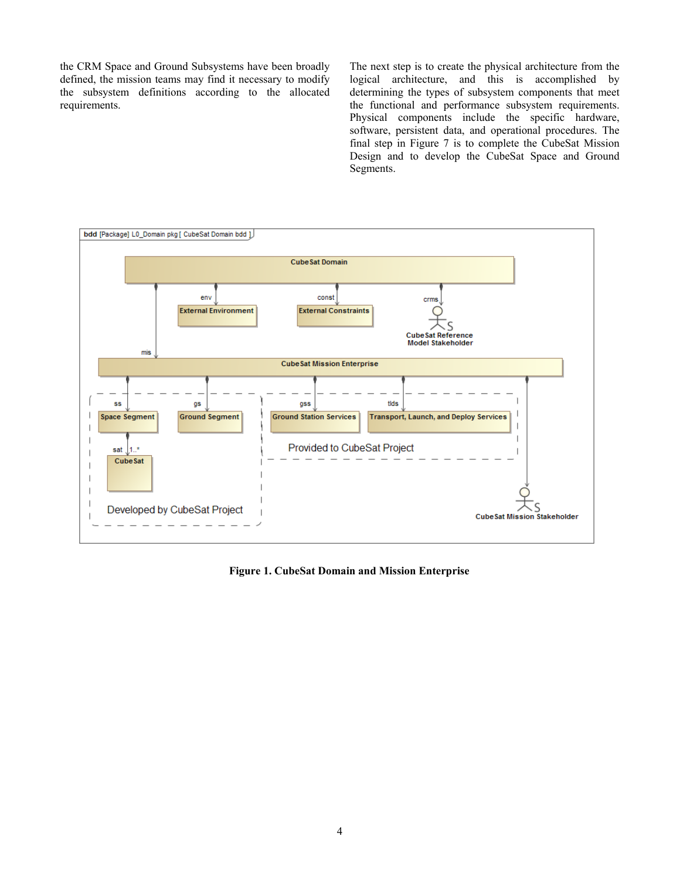the CRM Space and Ground Subsystems have been broadly defined, the mission teams may find it necessary to modify the subsystem definitions according to the allocated requirements.

The next step is to create the physical architecture from the logical architecture, and this is accomplished by determining the types of subsystem components that meet the functional and performance subsystem requirements. Physical components include the specific hardware, software, persistent data, and operational procedures. The final step in Figure 7 is to complete the CubeSat Mission Design and to develop the CubeSat Space and Ground Segments.



**Figure 1. CubeSat Domain and Mission Enterprise**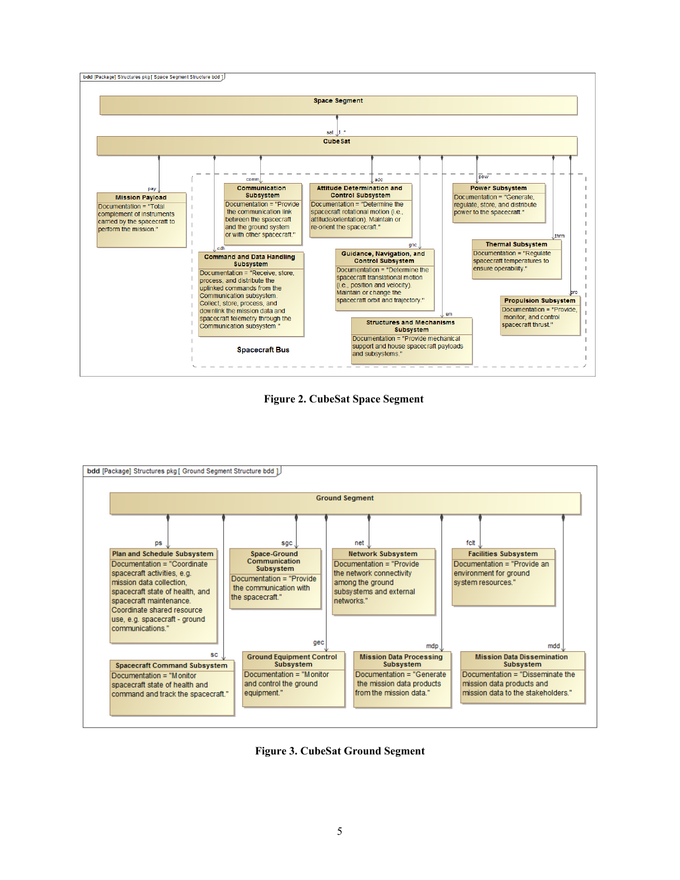

**Figure 2. CubeSat Space Segment** 



**Figure 3. CubeSat Ground Segment**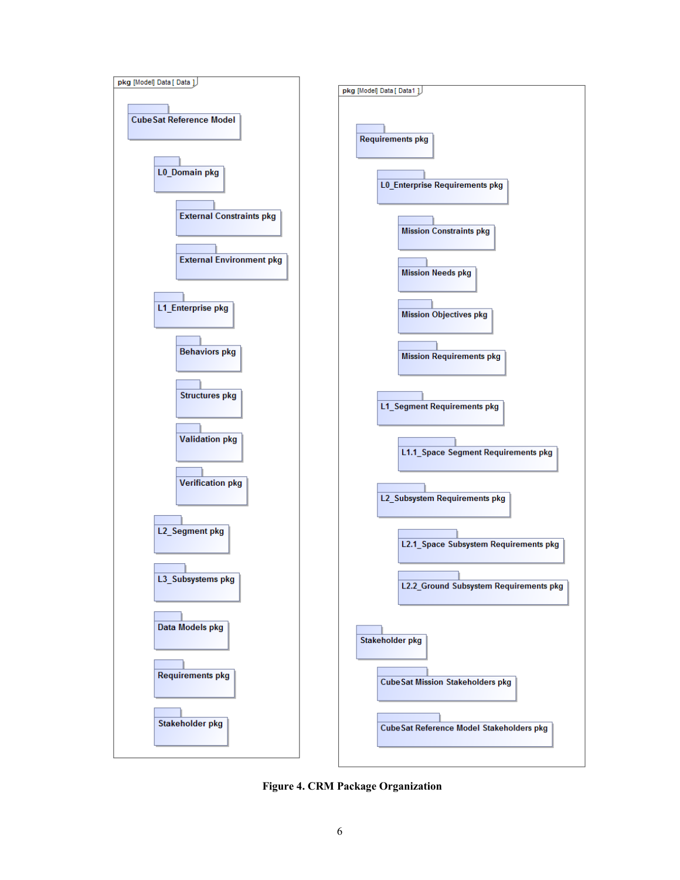

**Figure 4. CRM Package Organization**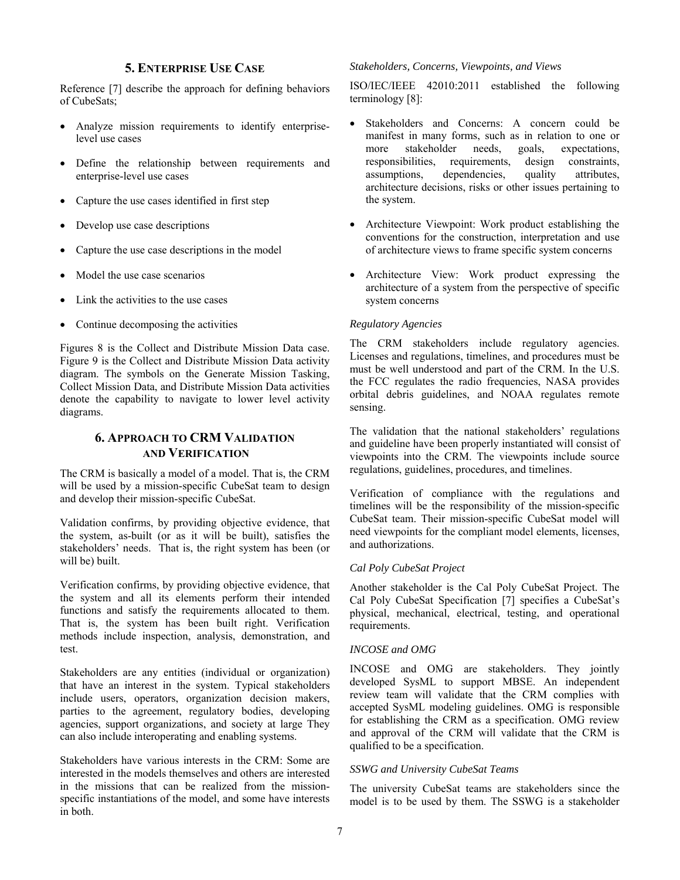## **5. ENTERPRISE USE CASE**

Reference [7] describe the approach for defining behaviors of CubeSats;

- Analyze mission requirements to identify enterpriselevel use cases
- Define the relationship between requirements and enterprise-level use cases
- Capture the use cases identified in first step
- Develop use case descriptions
- Capture the use case descriptions in the model
- Model the use case scenarios
- Link the activities to the use cases
- Continue decomposing the activities

Figures 8 is the Collect and Distribute Mission Data case. Figure 9 is the Collect and Distribute Mission Data activity diagram. The symbols on the Generate Mission Tasking, Collect Mission Data, and Distribute Mission Data activities denote the capability to navigate to lower level activity diagrams.

# **6. APPROACH TO CRM VALIDATION AND VERIFICATION**

The CRM is basically a model of a model. That is, the CRM will be used by a mission-specific CubeSat team to design and develop their mission-specific CubeSat.

Validation confirms, by providing objective evidence, that the system, as-built (or as it will be built), satisfies the stakeholders' needs. That is, the right system has been (or will be) built.

Verification confirms, by providing objective evidence, that the system and all its elements perform their intended functions and satisfy the requirements allocated to them. That is, the system has been built right. Verification methods include inspection, analysis, demonstration, and test.

Stakeholders are any entities (individual or organization) that have an interest in the system. Typical stakeholders include users, operators, organization decision makers, parties to the agreement, regulatory bodies, developing agencies, support organizations, and society at large They can also include interoperating and enabling systems.

Stakeholders have various interests in the CRM: Some are interested in the models themselves and others are interested in the missions that can be realized from the missionspecific instantiations of the model, and some have interests in both.

#### *Stakeholders, Concerns, Viewpoints, and Views*

ISO/IEC/IEEE 42010:2011 established the following terminology [8]:

- Stakeholders and Concerns: A concern could be manifest in many forms, such as in relation to one or more stakeholder needs, goals, expectations, responsibilities, requirements, design constraints, assumptions, dependencies, quality attributes, architecture decisions, risks or other issues pertaining to the system.
- Architecture Viewpoint: Work product establishing the conventions for the construction, interpretation and use of architecture views to frame specific system concerns
- Architecture View: Work product expressing the architecture of a system from the perspective of specific system concerns

#### *Regulatory Agencies*

The CRM stakeholders include regulatory agencies. Licenses and regulations, timelines, and procedures must be must be well understood and part of the CRM. In the U.S. the FCC regulates the radio frequencies, NASA provides orbital debris guidelines, and NOAA regulates remote sensing.

The validation that the national stakeholders' regulations and guideline have been properly instantiated will consist of viewpoints into the CRM. The viewpoints include source regulations, guidelines, procedures, and timelines.

Verification of compliance with the regulations and timelines will be the responsibility of the mission-specific CubeSat team. Their mission-specific CubeSat model will need viewpoints for the compliant model elements, licenses, and authorizations.

#### *Cal Poly CubeSat Project*

Another stakeholder is the Cal Poly CubeSat Project. The Cal Poly CubeSat Specification [7] specifies a CubeSat's physical, mechanical, electrical, testing, and operational requirements.

#### *INCOSE and OMG*

INCOSE and OMG are stakeholders. They jointly developed SysML to support MBSE. An independent review team will validate that the CRM complies with accepted SysML modeling guidelines. OMG is responsible for establishing the CRM as a specification. OMG review and approval of the CRM will validate that the CRM is qualified to be a specification.

#### *SSWG and University CubeSat Teams*

The university CubeSat teams are stakeholders since the model is to be used by them. The SSWG is a stakeholder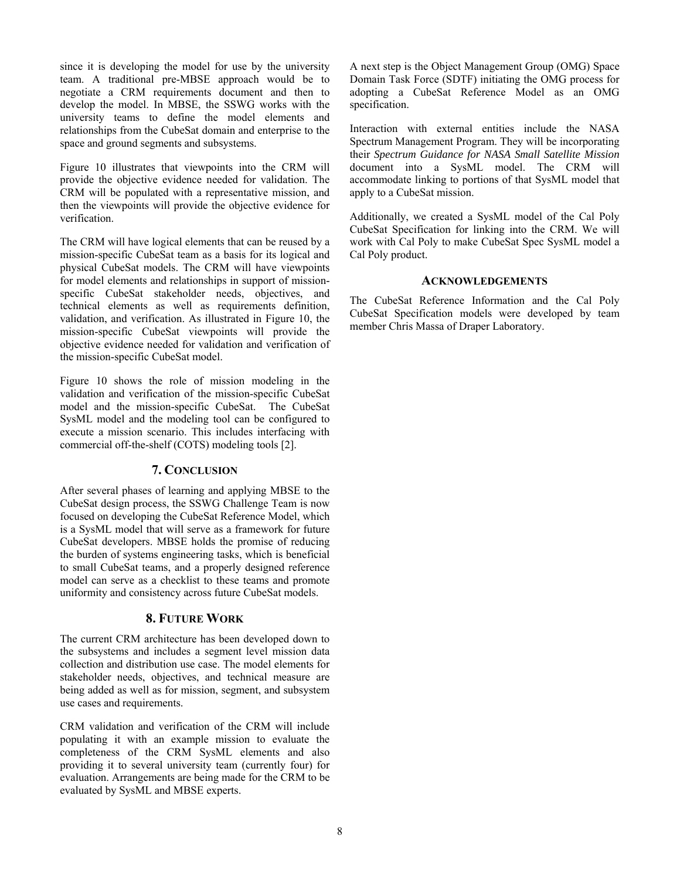since it is developing the model for use by the university team. A traditional pre-MBSE approach would be to negotiate a CRM requirements document and then to develop the model. In MBSE, the SSWG works with the university teams to define the model elements and relationships from the CubeSat domain and enterprise to the space and ground segments and subsystems.

Figure 10 illustrates that viewpoints into the CRM will provide the objective evidence needed for validation. The CRM will be populated with a representative mission, and then the viewpoints will provide the objective evidence for verification.

The CRM will have logical elements that can be reused by a mission-specific CubeSat team as a basis for its logical and physical CubeSat models. The CRM will have viewpoints for model elements and relationships in support of missionspecific CubeSat stakeholder needs, objectives, and technical elements as well as requirements definition, validation, and verification. As illustrated in Figure 10, the mission-specific CubeSat viewpoints will provide the objective evidence needed for validation and verification of the mission-specific CubeSat model.

Figure 10 shows the role of mission modeling in the validation and verification of the mission-specific CubeSat model and the mission-specific CubeSat. The CubeSat SysML model and the modeling tool can be configured to execute a mission scenario. This includes interfacing with commercial off-the-shelf (COTS) modeling tools [2].

## **7. CONCLUSION**

After several phases of learning and applying MBSE to the CubeSat design process, the SSWG Challenge Team is now focused on developing the CubeSat Reference Model, which is a SysML model that will serve as a framework for future CubeSat developers. MBSE holds the promise of reducing the burden of systems engineering tasks, which is beneficial to small CubeSat teams, and a properly designed reference model can serve as a checklist to these teams and promote uniformity and consistency across future CubeSat models.

## **8. FUTURE WORK**

The current CRM architecture has been developed down to the subsystems and includes a segment level mission data collection and distribution use case. The model elements for stakeholder needs, objectives, and technical measure are being added as well as for mission, segment, and subsystem use cases and requirements.

CRM validation and verification of the CRM will include populating it with an example mission to evaluate the completeness of the CRM SysML elements and also providing it to several university team (currently four) for evaluation. Arrangements are being made for the CRM to be evaluated by SysML and MBSE experts.

A next step is the Object Management Group (OMG) Space Domain Task Force (SDTF) initiating the OMG process for adopting a CubeSat Reference Model as an OMG specification.

Interaction with external entities include the NASA Spectrum Management Program. They will be incorporating their *Spectrum Guidance for NASA Small Satellite Mission* document into a SysML model. The CRM will accommodate linking to portions of that SysML model that apply to a CubeSat mission.

Additionally, we created a SysML model of the Cal Poly CubeSat Specification for linking into the CRM. We will work with Cal Poly to make CubeSat Spec SysML model a Cal Poly product.

## **ACKNOWLEDGEMENTS**

The CubeSat Reference Information and the Cal Poly CubeSat Specification models were developed by team member Chris Massa of Draper Laboratory.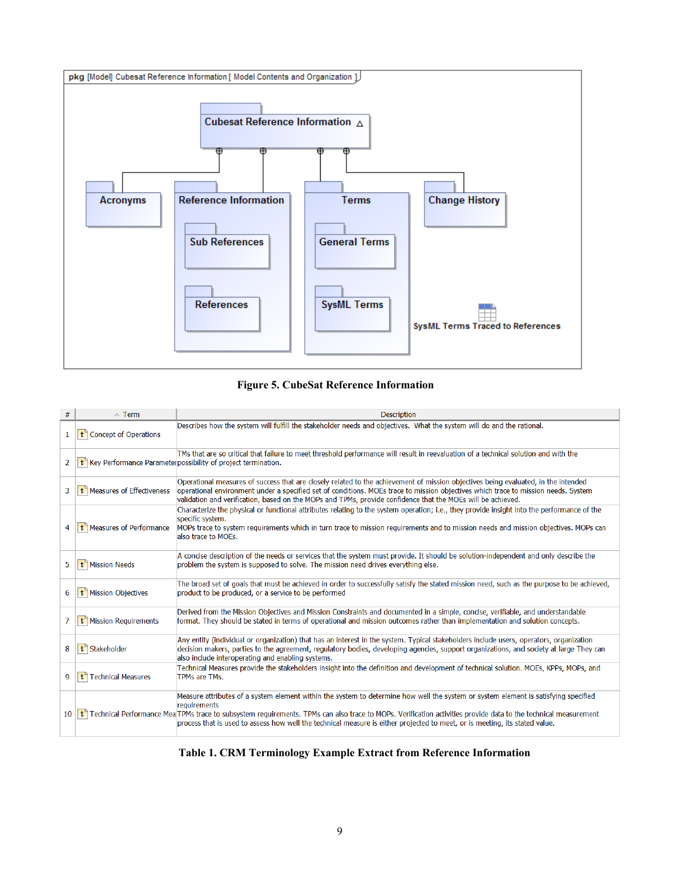

# **Figure 5. CubeSat Reference Information**

| #            | $\sim$ Term                       | <b>Description</b>                                                                                                                                                                                                                                                                                                                                                                                                                                                               |
|--------------|-----------------------------------|----------------------------------------------------------------------------------------------------------------------------------------------------------------------------------------------------------------------------------------------------------------------------------------------------------------------------------------------------------------------------------------------------------------------------------------------------------------------------------|
| $\mathbf{1}$ | t Concept of Operations           | Describes how the system will fulfill the stakeholder needs and objectives. What the system will do and the rational.                                                                                                                                                                                                                                                                                                                                                            |
| 2            |                                   | TMs that are so critical that failure to meet threshold performance will result in reevaluation of a technical solution and with the<br>t <sup>"</sup> Key Performance Parameter possibility of project termination.                                                                                                                                                                                                                                                             |
| 3            | t Measures of Effectiveness       | Operational measures of success that are closely related to the achievement of mission objectives being evaluated, in the intended<br>operational environment under a specified set of conditions. MOEs trace to mission objectives which trace to mission needs. System<br>validation and verification, based on the MOPs and TPMs, provide confidence that the MOEs will be achieved.                                                                                          |
| 4            | $t^$ Measures of Performance      | Characterize the physical or functional attributes relating to the system operation; i.e., they provide insight into the performance of the<br>specific system.<br>MOPs trace to system requirements which in turn trace to mission requirements and to mission needs and mission objectives. MOPs can<br>also trace to MOEs.                                                                                                                                                    |
| 5            | t <sup>9</sup> Mission Needs      | A concise description of the needs or services that the system must provide. It should be solution-independent and only describe the<br>problem the system is supposed to solve. The mission need drives everything else.                                                                                                                                                                                                                                                        |
| 6            | t <sup>'</sup> Mission Objectives | The broad set of goals that must be achieved in order to successfully satisfy the stated mission need, such as the purpose to be achieved,<br>product to be produced, or a service to be performed                                                                                                                                                                                                                                                                               |
| 7            | t Mission Requirements            | Derived from the Mission Objectives and Mission Constraints and documented in a simple, concise, verifiable, and understandable<br>format. They should be stated in terms of operational and mission outcomes rather than implementation and solution concepts.                                                                                                                                                                                                                  |
| 8            | t <sup>9</sup> Stakeholder        | Any entity (individual or organization) that has an interest in the system. Typical stakeholders include users, operators, organization<br>decision makers, parties to the agreement, regulatory bodies, developing agencies, support organizations, and society at large They can<br>also include interoperating and enabling systems.                                                                                                                                          |
| 9            | t <sup>9</sup> Technical Measures | Technical Measures provide the stakeholders insight into the definition and development of technical solution. MOEs, KPPs, MOPs, and<br>TPMs are TMs.                                                                                                                                                                                                                                                                                                                            |
| 10           |                                   | Measure attributes of a system element within the system to determine how well the system or system element is satisfying specified<br>requirements<br>t <sup>+</sup> Technical Performance Mea <sup>r</sup> TPMs trace to subsystem requirements. TPMs can also trace to MOPs. Verification activities provide data to the technical measurement<br>process that is used to assess how well the technical measure is either projected to meet, or is meeting, its stated value. |

## **Table 1. CRM Terminology Example Extract from Reference Information**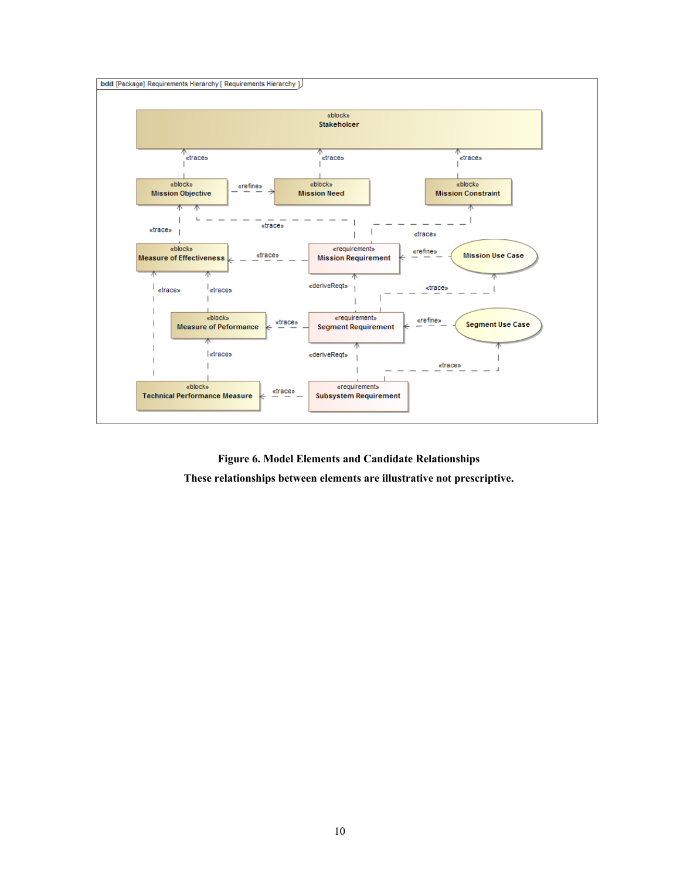

**Figure 6. Model Elements and Candidate Relationships These relationships between elements are illustrative not prescriptive.**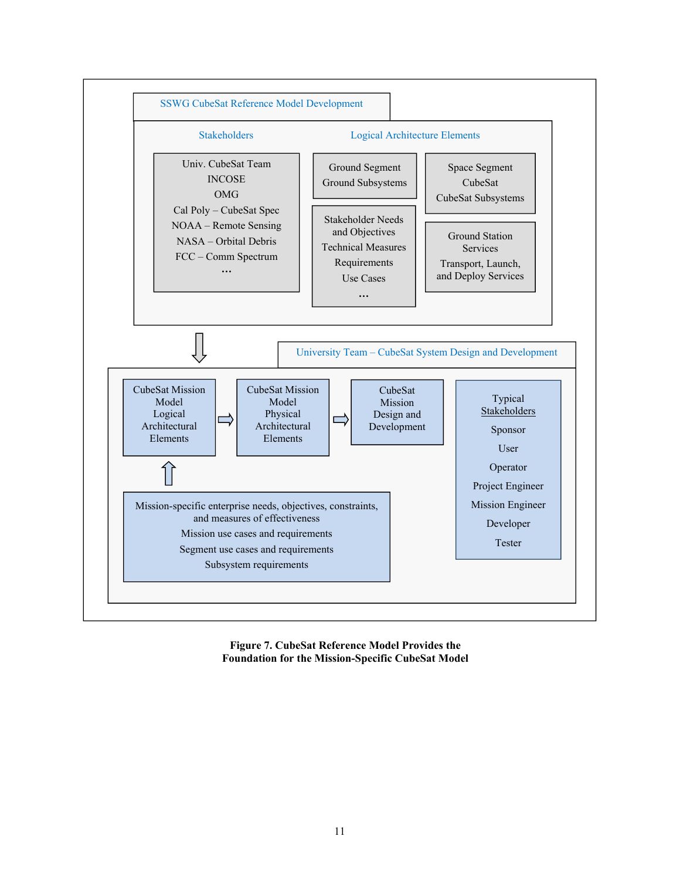

**Figure 7. CubeSat Reference Model Provides the Foundation for the Mission-Specific CubeSat Model**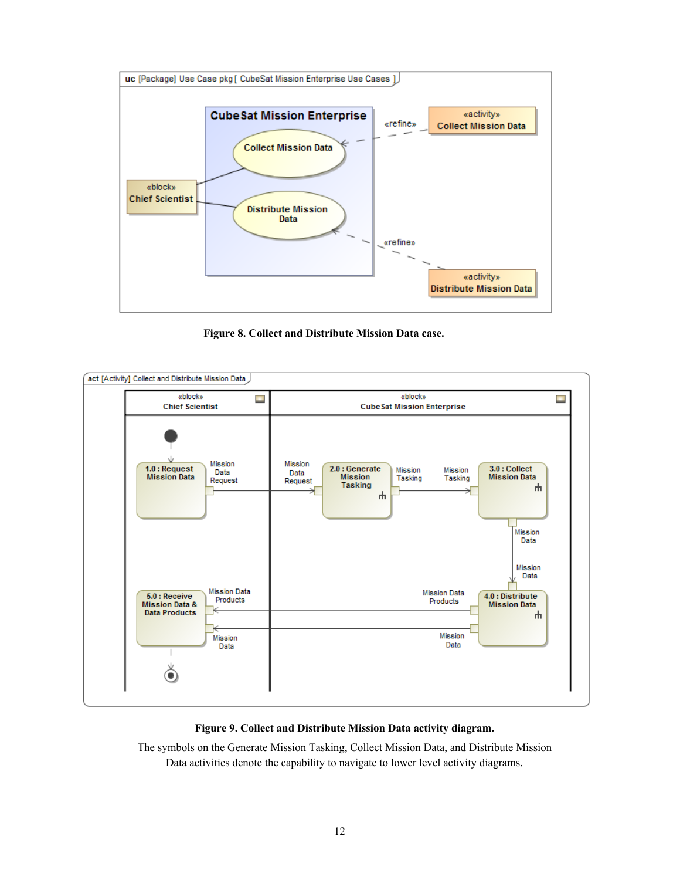

**Figure 8. Collect and Distribute Mission Data case.** 



## **Figure 9. Collect and Distribute Mission Data activity diagram.**

The symbols on the Generate Mission Tasking, Collect Mission Data, and Distribute Mission Data activities denote the capability to navigate to lower level activity diagrams.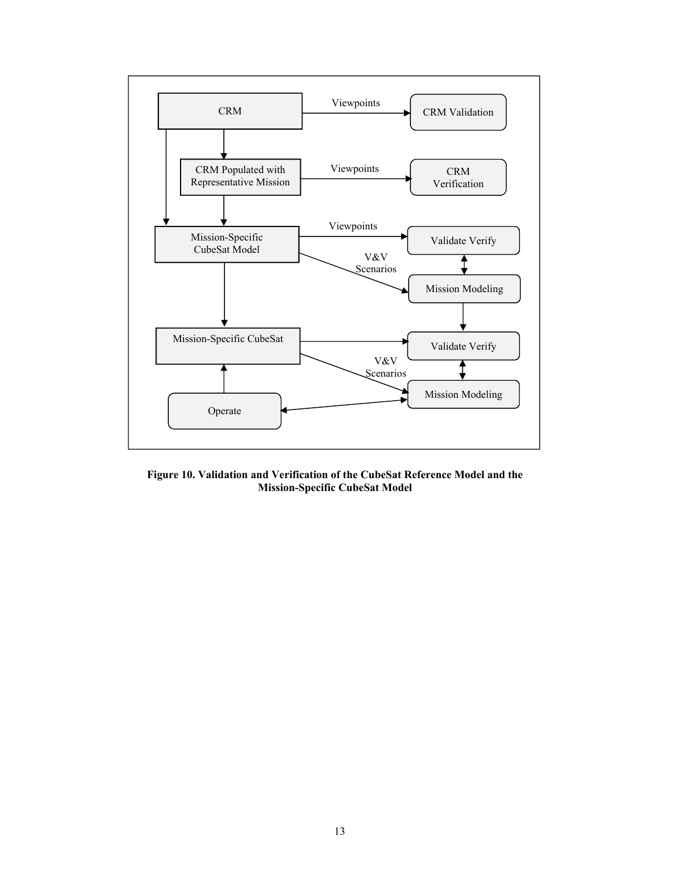

**Figure 10. Validation and Verification of the CubeSat Reference Model and the Mission-Specific CubeSat Model**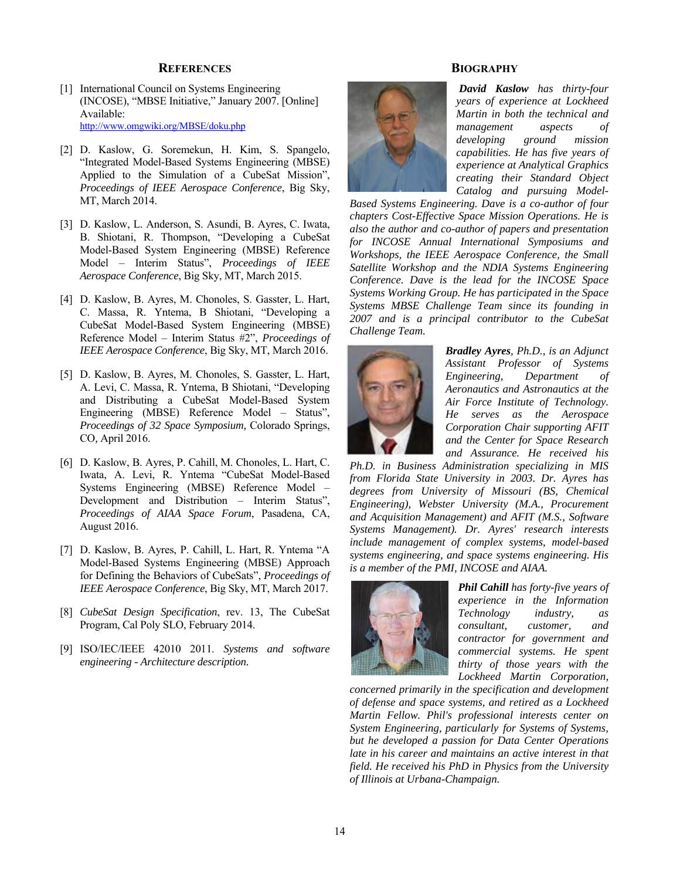#### **REFERENCES**

- [1] International Council on Systems Engineering (INCOSE), "MBSE Initiative," January 2007. [Online] Available: http://www.omgwiki.org/MBSE/doku.php
- [2] D. Kaslow, G. Soremekun, H. Kim, S. Spangelo, "Integrated Model-Based Systems Engineering (MBSE) Applied to the Simulation of a CubeSat Mission", *Proceedings of IEEE Aerospace Conference*, Big Sky, MT, March 2014.
- [3] D. Kaslow, L. Anderson, S. Asundi, B. Ayres, C. Iwata, B. Shiotani, R. Thompson, "Developing a CubeSat Model-Based System Engineering (MBSE) Reference Model – Interim Status", *Proceedings of IEEE Aerospace Conference*, Big Sky, MT, March 2015.
- [4] D. Kaslow, B. Ayres, M. Chonoles, S. Gasster, L. Hart, C. Massa, R. Yntema, B Shiotani, "Developing a CubeSat Model-Based System Engineering (MBSE) Reference Model – Interim Status #2", *Proceedings of IEEE Aerospace Conference*, Big Sky, MT, March 2016.
- [5] D. Kaslow, B. Ayres, M. Chonoles, S. Gasster, L. Hart, A. Levi, C. Massa, R. Yntema, B Shiotani, "Developing and Distributing a CubeSat Model-Based System Engineering (MBSE) Reference Model – Status", *Proceedings of 32 Space Symposium,* Colorado Springs, CO*,* April 2016.
- [6] D. Kaslow, B. Ayres, P. Cahill, M. Chonoles, L. Hart, C. Iwata, A. Levi, R. Yntema "CubeSat Model-Based Systems Engineering (MBSE) Reference Model – Development and Distribution – Interim Status", *Proceedings of AIAA Space Forum*, Pasadena, CA, August 2016.
- [7] D. Kaslow, B. Ayres, P. Cahill, L. Hart, R. Yntema "A Model-Based Systems Engineering (MBSE) Approach for Defining the Behaviors of CubeSats", *Proceedings of IEEE Aerospace Conference*, Big Sky, MT, March 2017.
- [8] *CubeSat Design Specification*, rev. 13, The CubeSat Program, Cal Poly SLO, February 2014.
- [9] ISO/IEC/IEEE 42010 2011. *Systems and software engineering - Architecture description.*

## **BIOGRAPHY**



 *David Kaslow has thirty-four years of experience at Lockheed Martin in both the technical and management aspects of developing ground mission capabilities. He has five years of experience at Analytical Graphics creating their Standard Object Catalog and pursuing Model-*

*Based Systems Engineering. Dave is a co-author of four chapters Cost-Effective Space Mission Operations. He is also the author and co-author of papers and presentation for INCOSE Annual International Symposiums and Workshops, the IEEE Aerospace Conference, the Small Satellite Workshop and the NDIA Systems Engineering Conference. Dave is the lead for the INCOSE Space Systems Working Group. He has participated in the Space Systems MBSE Challenge Team since its founding in 2007 and is a principal contributor to the CubeSat Challenge Team.*



*Bradley Ayres, Ph.D., is an Adjunct Assistant Professor of Systems Engineering, Department of Aeronautics and Astronautics at the Air Force Institute of Technology. He serves as the Aerospace Corporation Chair supporting AFIT and the Center for Space Research and Assurance. He received his* 

*Ph.D. in Business Administration specializing in MIS from Florida State University in 2003. Dr. Ayres has degrees from University of Missouri (BS, Chemical Engineering), Webster University (M.A., Procurement and Acquisition Management) and AFIT (M.S., Software Systems Management). Dr. Ayres' research interests include management of complex systems, model-based systems engineering, and space systems engineering. His is a member of the PMI, INCOSE and AIAA.*



*Phil Cahill has forty-five years of experience in the Information Technology industry, as consultant, customer, and contractor for government and commercial systems. He spent thirty of those years with the Lockheed Martin Corporation,* 

*concerned primarily in the specification and development of defense and space systems, and retired as a Lockheed Martin Fellow. Phil's professional interests center on System Engineering, particularly for Systems of Systems, but he developed a passion for Data Center Operations late in his career and maintains an active interest in that field. He received his PhD in Physics from the University of Illinois at Urbana-Champaign.*